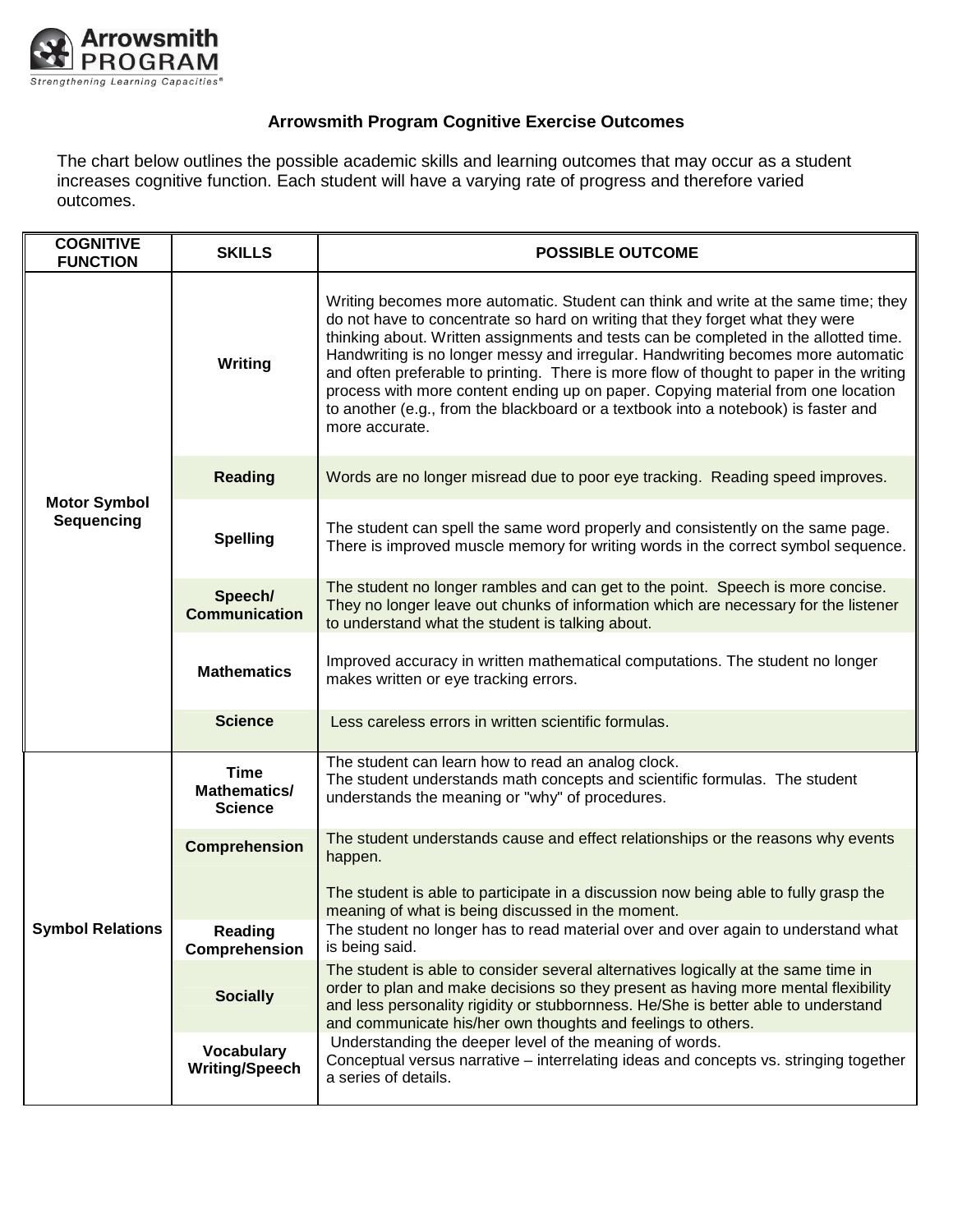

## **Arrowsmith Program Cognitive Exercise Outcomes**

The chart below outlines the possible academic skills and learning outcomes that may occur as a student increases cognitive function. Each student will have a varying rate of progress and therefore varied outcomes.

| <b>COGNITIVE</b><br><b>FUNCTION</b>      | <b>SKILLS</b>                              | <b>POSSIBLE OUTCOME</b>                                                                                                                                                                                                                                                                                                                                                                                                                                                                                                                                                                                                                |
|------------------------------------------|--------------------------------------------|----------------------------------------------------------------------------------------------------------------------------------------------------------------------------------------------------------------------------------------------------------------------------------------------------------------------------------------------------------------------------------------------------------------------------------------------------------------------------------------------------------------------------------------------------------------------------------------------------------------------------------------|
| <b>Motor Symbol</b><br><b>Sequencing</b> | Writing                                    | Writing becomes more automatic. Student can think and write at the same time; they<br>do not have to concentrate so hard on writing that they forget what they were<br>thinking about. Written assignments and tests can be completed in the allotted time.<br>Handwriting is no longer messy and irregular. Handwriting becomes more automatic<br>and often preferable to printing. There is more flow of thought to paper in the writing<br>process with more content ending up on paper. Copying material from one location<br>to another (e.g., from the blackboard or a textbook into a notebook) is faster and<br>more accurate. |
|                                          | <b>Reading</b>                             | Words are no longer misread due to poor eye tracking. Reading speed improves.                                                                                                                                                                                                                                                                                                                                                                                                                                                                                                                                                          |
|                                          | <b>Spelling</b>                            | The student can spell the same word properly and consistently on the same page.<br>There is improved muscle memory for writing words in the correct symbol sequence.                                                                                                                                                                                                                                                                                                                                                                                                                                                                   |
|                                          | Speech/<br><b>Communication</b>            | The student no longer rambles and can get to the point. Speech is more concise.<br>They no longer leave out chunks of information which are necessary for the listener<br>to understand what the student is talking about.                                                                                                                                                                                                                                                                                                                                                                                                             |
|                                          | <b>Mathematics</b>                         | Improved accuracy in written mathematical computations. The student no longer<br>makes written or eye tracking errors.                                                                                                                                                                                                                                                                                                                                                                                                                                                                                                                 |
|                                          | <b>Science</b>                             | Less careless errors in written scientific formulas.                                                                                                                                                                                                                                                                                                                                                                                                                                                                                                                                                                                   |
| <b>Symbol Relations</b>                  | Time<br>Mathematics/<br><b>Science</b>     | The student can learn how to read an analog clock.<br>The student understands math concepts and scientific formulas. The student<br>understands the meaning or "why" of procedures.                                                                                                                                                                                                                                                                                                                                                                                                                                                    |
|                                          | <b>Comprehension</b>                       | The student understands cause and effect relationships or the reasons why events<br>happen.                                                                                                                                                                                                                                                                                                                                                                                                                                                                                                                                            |
|                                          |                                            | The student is able to participate in a discussion now being able to fully grasp the<br>meaning of what is being discussed in the moment.                                                                                                                                                                                                                                                                                                                                                                                                                                                                                              |
|                                          | Reading<br>Comprehension                   | The student no longer has to read material over and over again to understand what<br>is being said.                                                                                                                                                                                                                                                                                                                                                                                                                                                                                                                                    |
|                                          | <b>Socially</b>                            | The student is able to consider several alternatives logically at the same time in<br>order to plan and make decisions so they present as having more mental flexibility<br>and less personality rigidity or stubbornness. He/She is better able to understand<br>and communicate his/her own thoughts and feelings to others.                                                                                                                                                                                                                                                                                                         |
|                                          | <b>Vocabulary</b><br><b>Writing/Speech</b> | Understanding the deeper level of the meaning of words.<br>Conceptual versus narrative – interrelating ideas and concepts vs. stringing together<br>a series of details.                                                                                                                                                                                                                                                                                                                                                                                                                                                               |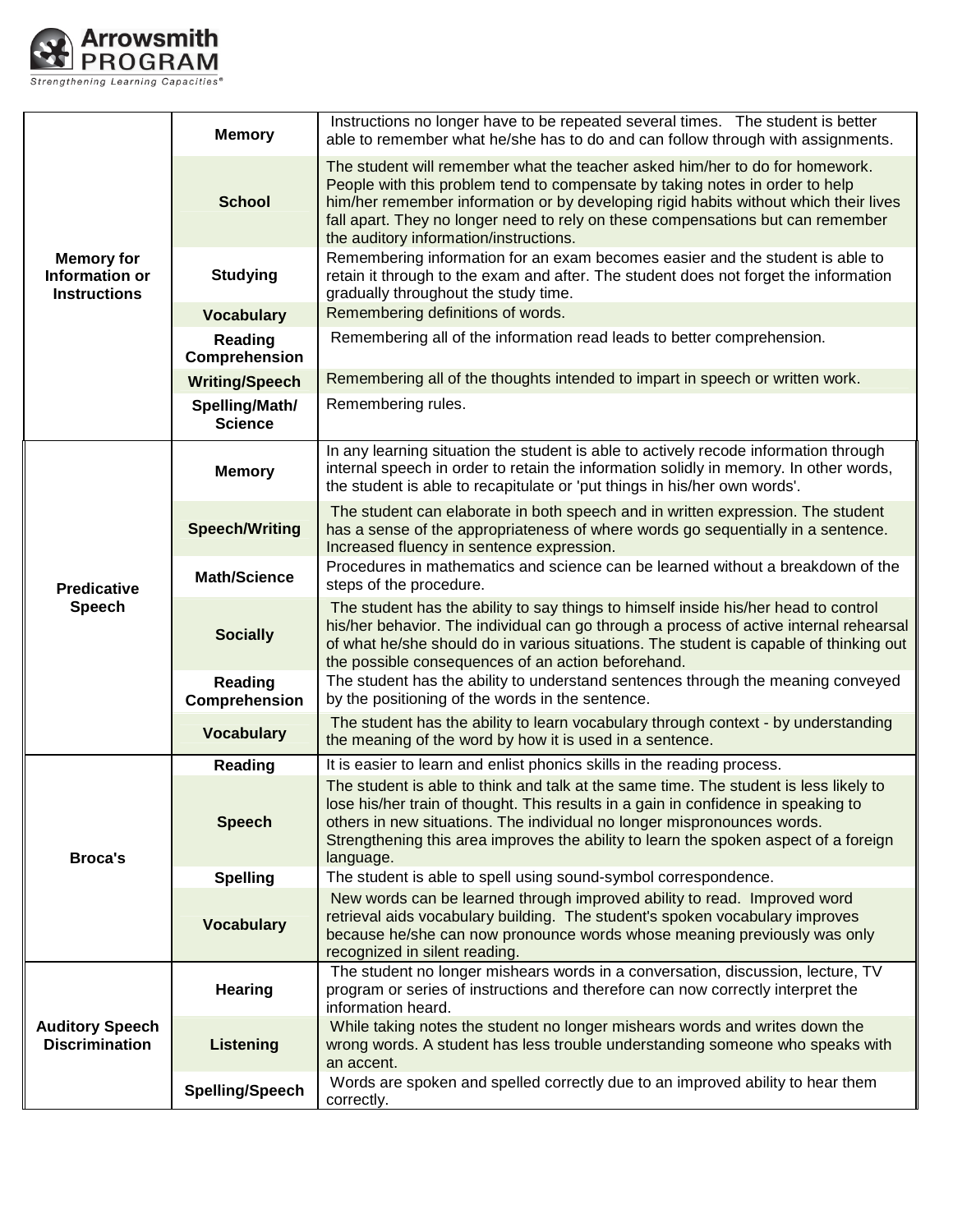

| <b>Memory for</b><br><b>Information or</b><br><b>Instructions</b> | <b>Memory</b>                    | Instructions no longer have to be repeated several times. The student is better<br>able to remember what he/she has to do and can follow through with assignments.                                                                                                                                                                                                                |
|-------------------------------------------------------------------|----------------------------------|-----------------------------------------------------------------------------------------------------------------------------------------------------------------------------------------------------------------------------------------------------------------------------------------------------------------------------------------------------------------------------------|
|                                                                   | <b>School</b>                    | The student will remember what the teacher asked him/her to do for homework.<br>People with this problem tend to compensate by taking notes in order to help<br>him/her remember information or by developing rigid habits without which their lives<br>fall apart. They no longer need to rely on these compensations but can remember<br>the auditory information/instructions. |
|                                                                   | <b>Studying</b>                  | Remembering information for an exam becomes easier and the student is able to<br>retain it through to the exam and after. The student does not forget the information<br>gradually throughout the study time.                                                                                                                                                                     |
|                                                                   | <b>Vocabulary</b>                | Remembering definitions of words.                                                                                                                                                                                                                                                                                                                                                 |
|                                                                   | Reading<br>Comprehension         | Remembering all of the information read leads to better comprehension.                                                                                                                                                                                                                                                                                                            |
|                                                                   | <b>Writing/Speech</b>            | Remembering all of the thoughts intended to impart in speech or written work.                                                                                                                                                                                                                                                                                                     |
|                                                                   | Spelling/Math/<br><b>Science</b> | Remembering rules.                                                                                                                                                                                                                                                                                                                                                                |
| <b>Predicative</b><br><b>Speech</b>                               | <b>Memory</b>                    | In any learning situation the student is able to actively recode information through<br>internal speech in order to retain the information solidly in memory. In other words,<br>the student is able to recapitulate or 'put things in his/her own words'.                                                                                                                        |
|                                                                   | <b>Speech/Writing</b>            | The student can elaborate in both speech and in written expression. The student<br>has a sense of the appropriateness of where words go sequentially in a sentence.<br>Increased fluency in sentence expression.                                                                                                                                                                  |
|                                                                   | <b>Math/Science</b>              | Procedures in mathematics and science can be learned without a breakdown of the<br>steps of the procedure.                                                                                                                                                                                                                                                                        |
|                                                                   | <b>Socially</b>                  | The student has the ability to say things to himself inside his/her head to control<br>his/her behavior. The individual can go through a process of active internal rehearsal<br>of what he/she should do in various situations. The student is capable of thinking out<br>the possible consequences of an action beforehand.                                                     |
|                                                                   | <b>Reading</b><br>Comprehension  | The student has the ability to understand sentences through the meaning conveyed<br>by the positioning of the words in the sentence.                                                                                                                                                                                                                                              |
|                                                                   | <b>Vocabulary</b>                | The student has the ability to learn vocabulary through context - by understanding<br>the meaning of the word by how it is used in a sentence.                                                                                                                                                                                                                                    |
|                                                                   | <b>Reading</b>                   | It is easier to learn and enlist phonics skills in the reading process.                                                                                                                                                                                                                                                                                                           |
| <b>Broca's</b>                                                    | <b>Speech</b>                    | The student is able to think and talk at the same time. The student is less likely to<br>lose his/her train of thought. This results in a gain in confidence in speaking to<br>others in new situations. The individual no longer mispronounces words.<br>Strengthening this area improves the ability to learn the spoken aspect of a foreign<br>language.                       |
|                                                                   | <b>Spelling</b>                  | The student is able to spell using sound-symbol correspondence.                                                                                                                                                                                                                                                                                                                   |
|                                                                   | <b>Vocabulary</b>                | New words can be learned through improved ability to read. Improved word<br>retrieval aids vocabulary building. The student's spoken vocabulary improves<br>because he/she can now pronounce words whose meaning previously was only<br>recognized in silent reading.                                                                                                             |
| <b>Auditory Speech</b><br><b>Discrimination</b>                   | Hearing                          | The student no longer mishears words in a conversation, discussion, lecture, TV<br>program or series of instructions and therefore can now correctly interpret the<br>information heard.                                                                                                                                                                                          |
|                                                                   | <b>Listening</b>                 | While taking notes the student no longer mishears words and writes down the<br>wrong words. A student has less trouble understanding someone who speaks with<br>an accent.                                                                                                                                                                                                        |
|                                                                   | Spelling/Speech                  | Words are spoken and spelled correctly due to an improved ability to hear them<br>correctly.                                                                                                                                                                                                                                                                                      |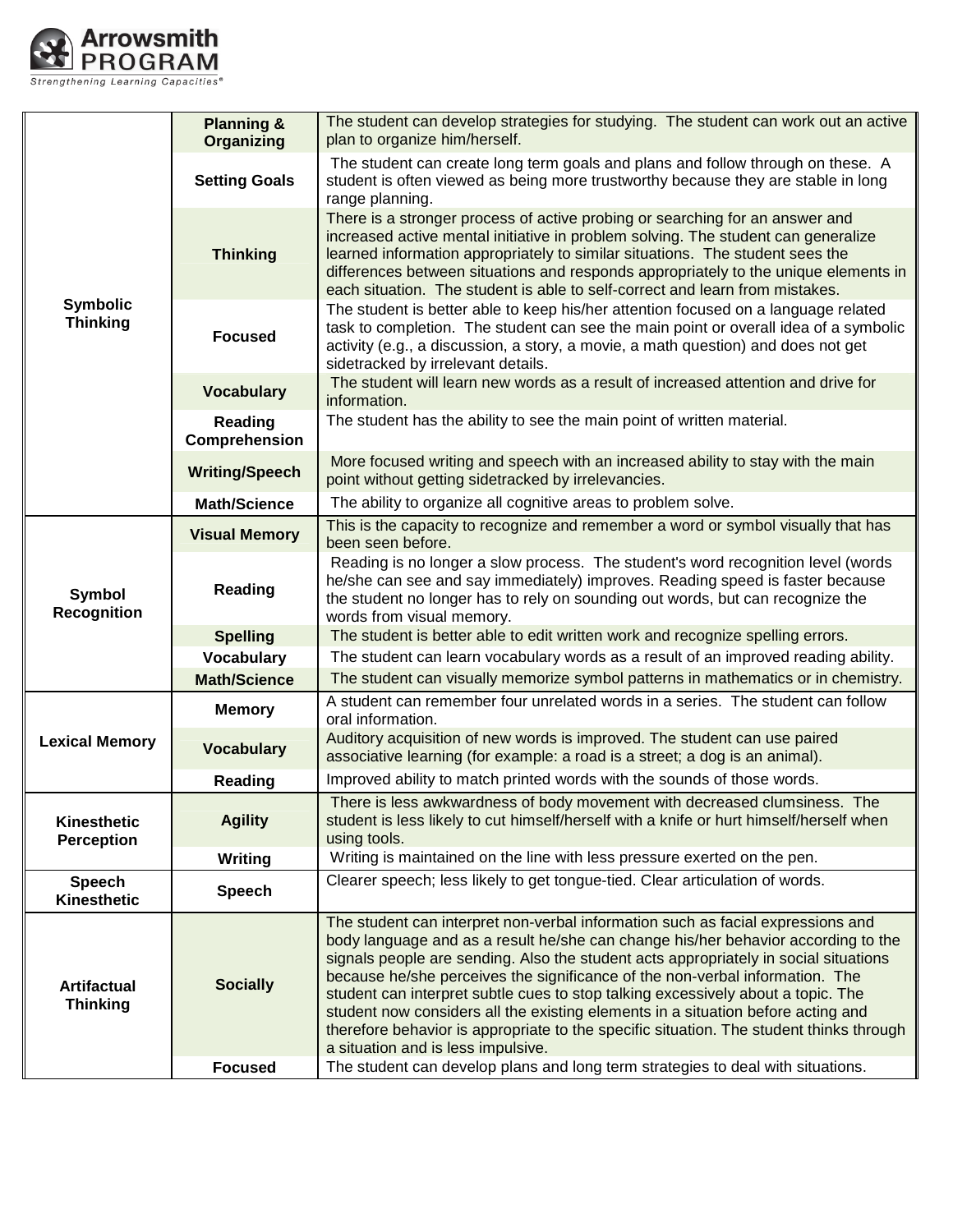

| <b>Symbolic</b><br><b>Thinking</b>    | <b>Planning &amp;</b><br><b>Organizing</b> | The student can develop strategies for studying. The student can work out an active<br>plan to organize him/herself.                                                                                                                                                                                                                                                                                                                                                                                                                                                                                                                                  |
|---------------------------------------|--------------------------------------------|-------------------------------------------------------------------------------------------------------------------------------------------------------------------------------------------------------------------------------------------------------------------------------------------------------------------------------------------------------------------------------------------------------------------------------------------------------------------------------------------------------------------------------------------------------------------------------------------------------------------------------------------------------|
|                                       | <b>Setting Goals</b>                       | The student can create long term goals and plans and follow through on these. A<br>student is often viewed as being more trustworthy because they are stable in long<br>range planning.                                                                                                                                                                                                                                                                                                                                                                                                                                                               |
|                                       | <b>Thinking</b>                            | There is a stronger process of active probing or searching for an answer and<br>increased active mental initiative in problem solving. The student can generalize<br>learned information appropriately to similar situations. The student sees the<br>differences between situations and responds appropriately to the unique elements in<br>each situation. The student is able to self-correct and learn from mistakes.                                                                                                                                                                                                                             |
|                                       | <b>Focused</b>                             | The student is better able to keep his/her attention focused on a language related<br>task to completion. The student can see the main point or overall idea of a symbolic<br>activity (e.g., a discussion, a story, a movie, a math question) and does not get<br>sidetracked by irrelevant details.                                                                                                                                                                                                                                                                                                                                                 |
|                                       | <b>Vocabulary</b>                          | The student will learn new words as a result of increased attention and drive for<br>information.                                                                                                                                                                                                                                                                                                                                                                                                                                                                                                                                                     |
|                                       | Reading<br>Comprehension                   | The student has the ability to see the main point of written material.                                                                                                                                                                                                                                                                                                                                                                                                                                                                                                                                                                                |
|                                       | <b>Writing/Speech</b>                      | More focused writing and speech with an increased ability to stay with the main<br>point without getting sidetracked by irrelevancies.                                                                                                                                                                                                                                                                                                                                                                                                                                                                                                                |
|                                       | <b>Math/Science</b>                        | The ability to organize all cognitive areas to problem solve.                                                                                                                                                                                                                                                                                                                                                                                                                                                                                                                                                                                         |
| <b>Symbol</b><br><b>Recognition</b>   | <b>Visual Memory</b>                       | This is the capacity to recognize and remember a word or symbol visually that has<br>been seen before.                                                                                                                                                                                                                                                                                                                                                                                                                                                                                                                                                |
|                                       | Reading                                    | Reading is no longer a slow process. The student's word recognition level (words<br>he/she can see and say immediately) improves. Reading speed is faster because<br>the student no longer has to rely on sounding out words, but can recognize the<br>words from visual memory.                                                                                                                                                                                                                                                                                                                                                                      |
|                                       | <b>Spelling</b>                            | The student is better able to edit written work and recognize spelling errors.                                                                                                                                                                                                                                                                                                                                                                                                                                                                                                                                                                        |
|                                       | <b>Vocabulary</b>                          | The student can learn vocabulary words as a result of an improved reading ability.                                                                                                                                                                                                                                                                                                                                                                                                                                                                                                                                                                    |
|                                       | <b>Math/Science</b>                        | The student can visually memorize symbol patterns in mathematics or in chemistry.                                                                                                                                                                                                                                                                                                                                                                                                                                                                                                                                                                     |
|                                       | <b>Memory</b>                              | A student can remember four unrelated words in a series. The student can follow<br>oral information.                                                                                                                                                                                                                                                                                                                                                                                                                                                                                                                                                  |
| <b>Lexical Memory</b>                 | <b>Vocabulary</b>                          | Auditory acquisition of new words is improved. The student can use paired<br>associative learning (for example: a road is a street; a dog is an animal).                                                                                                                                                                                                                                                                                                                                                                                                                                                                                              |
|                                       | Reading                                    | Improved ability to match printed words with the sounds of those words.                                                                                                                                                                                                                                                                                                                                                                                                                                                                                                                                                                               |
| Kinesthetic<br><b>Perception</b>      | <b>Agility</b>                             | There is less awkwardness of body movement with decreased clumsiness. The<br>student is less likely to cut himself/herself with a knife or hurt himself/herself when<br>using tools.                                                                                                                                                                                                                                                                                                                                                                                                                                                                  |
|                                       | <b>Writing</b>                             | Writing is maintained on the line with less pressure exerted on the pen.                                                                                                                                                                                                                                                                                                                                                                                                                                                                                                                                                                              |
| <b>Speech</b><br><b>Kinesthetic</b>   | <b>Speech</b>                              | Clearer speech; less likely to get tongue-tied. Clear articulation of words.                                                                                                                                                                                                                                                                                                                                                                                                                                                                                                                                                                          |
| <b>Artifactual</b><br><b>Thinking</b> | <b>Socially</b>                            | The student can interpret non-verbal information such as facial expressions and<br>body language and as a result he/she can change his/her behavior according to the<br>signals people are sending. Also the student acts appropriately in social situations<br>because he/she perceives the significance of the non-verbal information. The<br>student can interpret subtle cues to stop talking excessively about a topic. The<br>student now considers all the existing elements in a situation before acting and<br>therefore behavior is appropriate to the specific situation. The student thinks through<br>a situation and is less impulsive. |
|                                       | <b>Focused</b>                             | The student can develop plans and long term strategies to deal with situations.                                                                                                                                                                                                                                                                                                                                                                                                                                                                                                                                                                       |